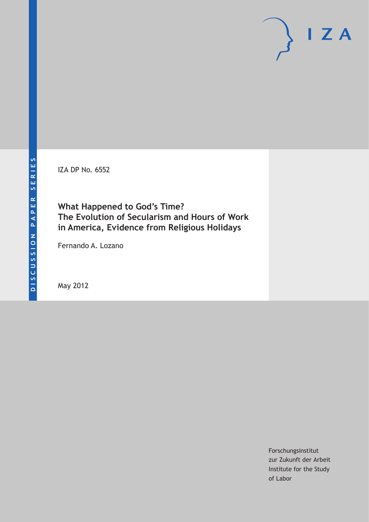IZA DP No. 6552

# **What Happened to God's Time? The Evolution of Secularism and Hours of Work in America, Evidence from Religious Holidays**

Fernando A. Lozano

May 2012

Forschungsinstitut zur Zukunft der Arbeit Institute for the Study of Labor

 $I Z A$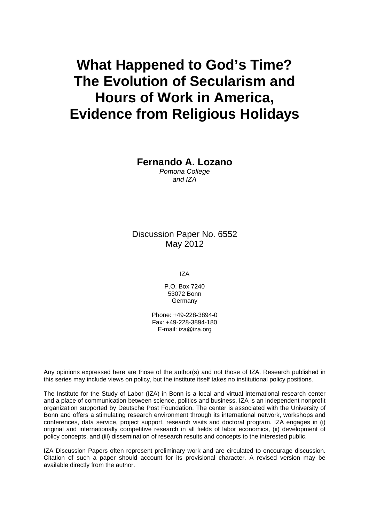# **What Happened to God's Time? The Evolution of Secularism and Hours of Work in America, Evidence from Religious Holidays**

#### **Fernando A. Lozano**

*Pomona College and IZA* 

Discussion Paper No. 6552 May 2012

IZA

P.O. Box 7240 53072 Bonn **Germany** 

Phone: +49-228-3894-0 Fax: +49-228-3894-180 E-mail: [iza@iza.org](mailto:iza@iza.org)

Any opinions expressed here are those of the author(s) and not those of IZA. Research published in this series may include views on policy, but the institute itself takes no institutional policy positions.

The Institute for the Study of Labor (IZA) in Bonn is a local and virtual international research center and a place of communication between science, politics and business. IZA is an independent nonprofit organization supported by Deutsche Post Foundation. The center is associated with the University of Bonn and offers a stimulating research environment through its international network, workshops and conferences, data service, project support, research visits and doctoral program. IZA engages in (i) original and internationally competitive research in all fields of labor economics, (ii) development of policy concepts, and (iii) dissemination of research results and concepts to the interested public.

IZA Discussion Papers often represent preliminary work and are circulated to encourage discussion. Citation of such a paper should account for its provisional character. A revised version may be available directly from the author.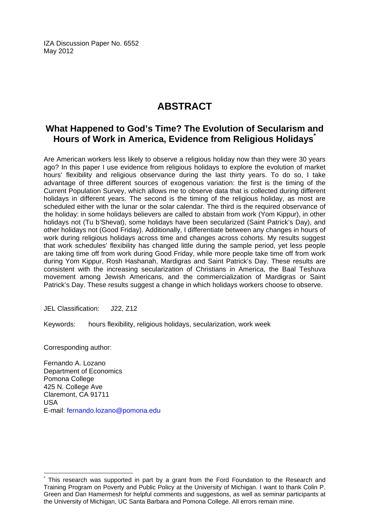IZA Discussion Paper No. 6552 May 2012

# **ABSTRACT**

#### **What Happened to God's Time? The Evolution of Secularism and Hours of Work in America, Evidence from Religious Holidays[\\*](#page-2-0)**

Are American workers less likely to observe a religious holiday now than they were 30 years ago? In this paper I use evidence from religious holidays to explore the evolution of market hours' flexibility and religious observance during the last thirty years. To do so, I take advantage of three different sources of exogenous variation: the first is the timing of the Current Population Survey, which allows me to observe data that is collected during different holidays in different years. The second is the timing of the religious holiday, as most are scheduled either with the lunar or the solar calendar. The third is the required observance of the holiday: in some holidays believers are called to abstain from work (Yom Kippur), in other holidays not (Tu b'Shevat), some holidays have been secularized (Saint Patrick's Day), and other holidays not (Good Friday). Additionally, I differentiate between any changes in hours of work during religious holidays across time and changes across cohorts. My results suggest that work schedules' flexibility has changed little during the sample period, yet less people are taking time off from work during Good Friday, while more people take time off from work during Yom Kippur, Rosh Hashanah, Mardigras and Saint Patrick's Day. These results are consistent with the increasing secularization of Christians in America, the Baal Teshuva movement among Jewish Americans, and the commercialization of Mardigras or Saint Patrick's Day. These results suggest a change in which holidays workers choose to observe.

JEL Classification: J22, Z12

Keywords: hours flexibility, religious holidays, secularization, work week

Corresponding author:

 $\overline{a}$ 

Fernando A. Lozano Department of Economics Pomona College 425 N. College Ave Claremont, CA 91711 USA E-mail: [fernando.lozano@pomona.edu](mailto:fernando.lozano@pomona.edu)

<span id="page-2-0"></span><sup>\*</sup> This research was supported in part by a grant from the Ford Foundation to the Research and Training Program on Poverty and Public Policy at the University of Michigan. I want to thank Colin P. Green and Dan Hamermesh for helpful comments and suggestions, as well as seminar participants at the University of Michigan, UC Santa Barbara and Pomona College. All errors remain mine.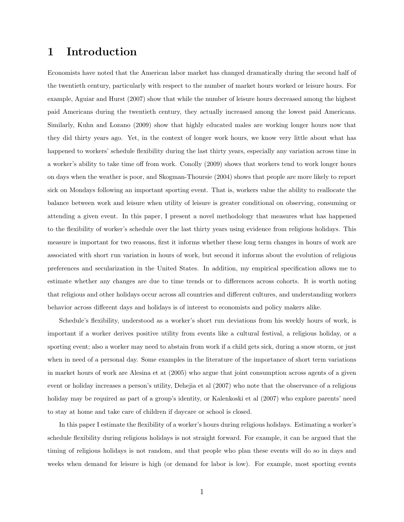## 1 Introduction

Economists have noted that the American labor market has changed dramatically during the second half of the twentieth century, particularly with respect to the number of market hours worked or leisure hours. For example, Aguiar and Hurst (2007) show that while the number of leisure hours decreased among the highest paid Americans during the twentieth century, they actually increased among the lowest paid Americans. Similarly, Kuhn and Lozano (2009) show that highly educated males are working longer hours now that they did thirty years ago. Yet, in the context of longer work hours, we know very little about what has happened to workers' schedule flexibility during the last thirty years, especially any variation across time in a worker's ability to take time off from work. Conolly (2009) shows that workers tend to work longer hours on days when the weather is poor, and Skogman-Thoursie (2004) shows that people are more likely to report sick on Mondays following an important sporting event. That is, workers value the ability to reallocate the balance between work and leisure when utility of leisure is greater conditional on observing, consuming or attending a given event. In this paper, I present a novel methodology that measures what has happened to the flexibility of worker's schedule over the last thirty years using evidence from religious holidays. This measure is important for two reasons, first it informs whether these long term changes in hours of work are associated with short run variation in hours of work, but second it informs about the evolution of religious preferences and secularization in the United States. In addition, my empirical specification allows me to estimate whether any changes are due to time trends or to differences across cohorts. It is worth noting that religious and other holidays occur across all countries and different cultures, and understanding workers behavior across different days and holidays is of interest to economists and policy makers alike.

Schedule's flexibility, understood as a worker's short run deviations from his weekly hours of work, is important if a worker derives positive utility from events like a cultural festival, a religious holiday, or a sporting event; also a worker may need to abstain from work if a child gets sick, during a snow storm, or just when in need of a personal day. Some examples in the literature of the importance of short term variations in market hours of work are Alesina et at (2005) who argue that joint consumption across agents of a given event or holiday increases a person's utility, Dehejia et al (2007) who note that the observance of a religious holiday may be required as part of a group's identity, or Kalenkoski et al  $(2007)$  who explore parents' need to stay at home and take care of children if daycare or school is closed.

In this paper I estimate the flexibility of a worker's hours during religious holidays. Estimating a worker's schedule flexibility during religious holidays is not straight forward. For example, it can be argued that the timing of religious holidays is not random, and that people who plan these events will do so in days and weeks when demand for leisure is high (or demand for labor is low). For example, most sporting events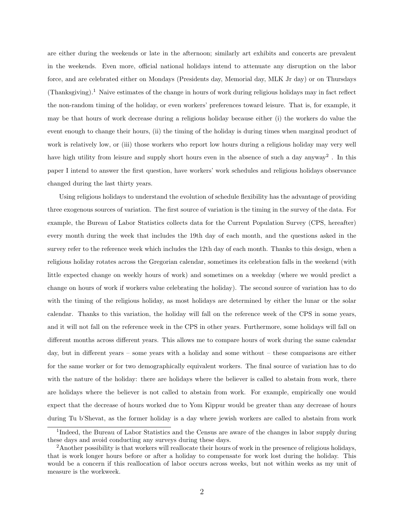are either during the weekends or late in the afternoon; similarly art exhibits and concerts are prevalent in the weekends. Even more, official national holidays intend to attenuate any disruption on the labor force, and are celebrated either on Mondays (Presidents day, Memorial day, MLK Jr day) or on Thursdays (Thanksgiving).<sup>1</sup> Naive estimates of the change in hours of work during religious holidays may in fact reflect the non-random timing of the holiday, or even workers' preferences toward leisure. That is, for example, it may be that hours of work decrease during a religious holiday because either (i) the workers do value the event enough to change their hours, (ii) the timing of the holiday is during times when marginal product of work is relatively low, or (iii) those workers who report low hours during a religious holiday may very well have high utility from leisure and supply short hours even in the absence of such a day anyway<sup>2</sup>. In this paper I intend to answer the first question, have workers' work schedules and religious holidays observance changed during the last thirty years.

Using religious holidays to understand the evolution of schedule flexibility has the advantage of providing three exogenous sources of variation. The first source of variation is the timing in the survey of the data. For example, the Bureau of Labor Statistics collects data for the Current Population Survey (CPS, hereafter) every month during the week that includes the 19th day of each month, and the questions asked in the survey refer to the reference week which includes the 12th day of each month. Thanks to this design, when a religious holiday rotates across the Gregorian calendar, sometimes its celebration falls in the weekend (with little expected change on weekly hours of work) and sometimes on a weekday (where we would predict a change on hours of work if workers value celebrating the holiday). The second source of variation has to do with the timing of the religious holiday, as most holidays are determined by either the lunar or the solar calendar. Thanks to this variation, the holiday will fall on the reference week of the CPS in some years, and it will not fall on the reference week in the CPS in other years. Furthermore, some holidays will fall on different months across different years. This allows me to compare hours of work during the same calendar day, but in different years – some years with a holiday and some without – these comparisons are either for the same worker or for two demographically equivalent workers. The final source of variation has to do with the nature of the holiday: there are holidays where the believer is called to abstain from work, there are holidays where the believer is not called to abstain from work. For example, empirically one would expect that the decrease of hours worked due to Yom Kippur would be greater than any decrease of hours during Tu b'Shevat, as the former holiday is a day where jewish workers are called to abstain from work

<sup>&</sup>lt;sup>1</sup>Indeed, the Bureau of Labor Statistics and the Census are aware of the changes in labor supply during these days and avoid conducting any surveys during these days.

<sup>&</sup>lt;sup>2</sup>Another possibility is that workers will reallocate their hours of work in the presence of religious holidays, that is work longer hours before or after a holiday to compensate for work lost during the holiday. This would be a concern if this reallocation of labor occurs across weeks, but not within weeks as my unit of measure is the workweek.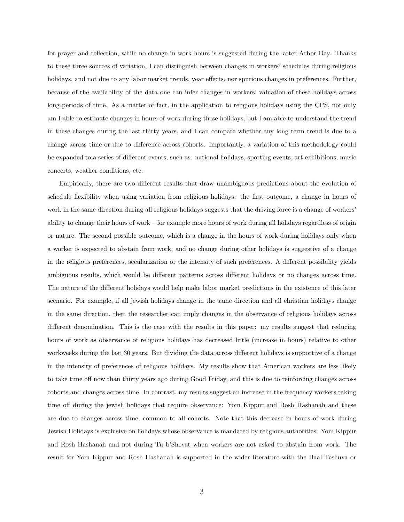for prayer and reflection, while no change in work hours is suggested during the latter Arbor Day. Thanks to these three sources of variation, I can distinguish between changes in workers' schedules during religious holidays, and not due to any labor market trends, year effects, nor spurious changes in preferences. Further, because of the availability of the data one can infer changes in workers' valuation of these holidays across long periods of time. As a matter of fact, in the application to religious holidays using the CPS, not only am I able to estimate changes in hours of work during these holidays, but I am able to understand the trend in these changes during the last thirty years, and I can compare whether any long term trend is due to a change across time or due to difference across cohorts. Importantly, a variation of this methodology could be expanded to a series of different events, such as: national holidays, sporting events, art exhibitions, music concerts, weather conditions, etc.

Empirically, there are two different results that draw unambiguous predictions about the evolution of schedule flexibility when using variation from religious holidays: the first outcome, a change in hours of work in the same direction during all religious holidays suggests that the driving force is a change of workers' ability to change their hours of work – for example more hours of work during all holidays regardless of origin or nature. The second possible outcome, which is a change in the hours of work during holidays only when a worker is expected to abstain from work, and no change during other holidays is suggestive of a change in the religious preferences, secularization or the intensity of such preferences. A different possibility yields ambiguous results, which would be different patterns across different holidays or no changes across time. The nature of the different holidays would help make labor market predictions in the existence of this later scenario. For example, if all jewish holidays change in the same direction and all christian holidays change in the same direction, then the researcher can imply changes in the observance of religious holidays across different denomination. This is the case with the results in this paper: my results suggest that reducing hours of work as observance of religious holidays has decreased little (increase in hours) relative to other workweeks during the last 30 years. But dividing the data across different holidays is supportive of a change in the intensity of preferences of religious holidays. My results show that American workers are less likely to take time off now than thirty years ago during Good Friday, and this is due to reinforcing changes across cohorts and changes across time. In contrast, my results suggest an increase in the frequency workers taking time off during the jewish holidays that require observance: Yom Kippur and Rosh Hashanah and these are due to changes across time, common to all cohorts. Note that this decrease in hours of work during Jewish Holidays is exclusive on holidays whose observance is mandated by religious authorities: Yom Kippur and Rosh Hashanah and not during Tu b'Shevat when workers are not asked to abstain from work. The result for Yom Kippur and Rosh Hashanah is supported in the wider literature with the Baal Teshuva or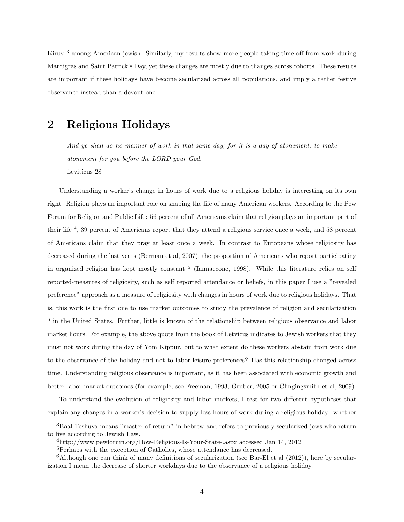Kiruv <sup>3</sup> among American jewish. Similarly, my results show more people taking time off from work during Mardigras and Saint Patrick's Day, yet these changes are mostly due to changes across cohorts. These results are important if these holidays have become secularized across all populations, and imply a rather festive observance instead than a devout one.

#### 2 Religious Holidays

And ye shall do no manner of work in that same day; for it is a day of atonement, to make atonement for you before the LORD your God. Leviticus 28

Understanding a worker's change in hours of work due to a religious holiday is interesting on its own right. Religion plays an important role on shaping the life of many American workers. According to the Pew Forum for Religion and Public Life: 56 percent of all Americans claim that religion plays an important part of their life <sup>4</sup>, 39 percent of Americans report that they attend a religious service once a week, and 58 percent of Americans claim that they pray at least once a week. In contrast to Europeans whose religiosity has decreased during the last years (Berman et al, 2007), the proportion of Americans who report participating in organized religion has kept mostly constant <sup>5</sup> (Iannaccone, 1998). While this literature relies on self reported-measures of religiosity, such as self reported attendance or beliefs, in this paper I use a "revealed preference" approach as a measure of religiosity with changes in hours of work due to religious holidays. That is, this work is the first one to use market outcomes to study the prevalence of religion and secularization <sup>6</sup> in the United States. Further, little is known of the relationship between religious observance and labor market hours. For example, the above quote from the book of Letvicus indicates to Jewish workers that they must not work during the day of Yom Kippur, but to what extent do these workers abstain from work due to the observance of the holiday and not to labor-leisure preferences? Has this relationship changed across time. Understanding religious observance is important, as it has been associated with economic growth and better labor market outcomes (for example, see Freeman, 1993, Gruber, 2005 or Clingingsmith et al, 2009).

To understand the evolution of religiosity and labor markets, I test for two different hypotheses that explain any changes in a worker's decision to supply less hours of work during a religious holiday: whether

<sup>3</sup>Baal Teshuva means "master of return" in hebrew and refers to previously secularized jews who return to live according to Jewish Law.

<sup>4</sup>http://www.pewforum.org/How-Religious-Is-Your-State-.aspx accessed Jan 14, 2012

<sup>&</sup>lt;sup>5</sup>Perhaps with the exception of Catholics, whose attendance has decreased.

 $6$ Although one can think of many definitions of secularization (see Bar-El et al  $(2012)$ ), here by secularization I mean the decrease of shorter workdays due to the observance of a religious holiday.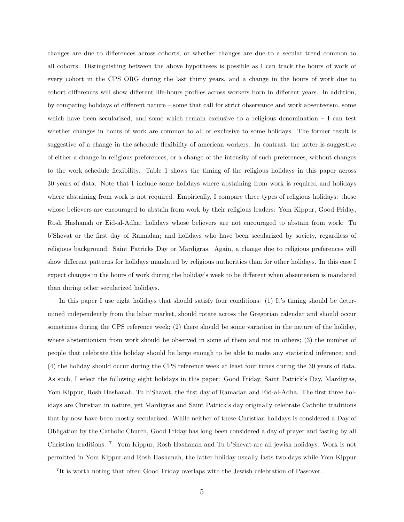changes are due to differences across cohorts, or whether changes are due to a secular trend common to all cohorts. Distinguishing between the above hypotheses is possible as I can track the hours of work of every cohort in the CPS ORG during the last thirty years, and a change in the hours of work due to cohort differences will show different life-hours profiles across workers born in different years. In addition, by comparing holidays of different nature – some that call for strict observance and work absenteeism, some which have been secularized, and some which remain exclusive to a religious denomination  $-1$  can test whether changes in hours of work are common to all or exclusive to some holidays. The former result is suggestive of a change in the schedule flexibility of american workers. In contrast, the latter is suggestive of either a change in religious preferences, or a change of the intensity of such preferences, without changes to the work schedule flexibility. Table 1 shows the timing of the religious holidays in this paper across 30 years of data. Note that I include some holidays where abstaining from work is required and holidays where abstaining from work is not required. Empirically, I compare three types of religious holidays: those whose believers are encouraged to abstain from work by their religious leaders: Yom Kippur, Good Friday, Rosh Hashanah or Eid-al-Adha; holidays whose believers are not encouraged to abstain from work: Tu b'Shevat or the first day of Ramadan; and holidays who have been secularized by society, regardless of religious background: Saint Patricks Day or Mardigras. Again, a change due to religious preferences will show different patterns for holidays mandated by religious authorities than for other holidays. In this case I expect changes in the hours of work during the holiday's week to be different when absenteeism is mandated than during other secularized holidays.

In this paper I use eight holidays that should satisfy four conditions: (1) It's timing should be determined independently from the labor market, should rotate across the Gregorian calendar and should occur sometimes during the CPS reference week; (2) there should be some variation in the nature of the holiday, where abstentionism from work should be observed in some of them and not in others; (3) the number of people that celebrate this holiday should be large enough to be able to make any statistical inference; and (4) the holiday should occur during the CPS reference week at least four times during the 30 years of data. As such, I select the following eight holidays in this paper: Good Friday, Saint Patrick's Day, Mardigras, Yom Kippur, Rosh Hashanah, Tu b'Shavot, the first day of Ramadan and Eid-al-Adha. The first three holidays are Christian in nature, yet Mardigras and Saint Patrick's day originally celebrate Catholic traditions that by now have been mostly secularized. While neither of these Christian holidays is considered a Day of Obligation by the Catholic Church, Good Friday has long been considered a day of prayer and fasting by all Christian traditions. <sup>7</sup>. Yom Kippur, Rosh Hashanah and Tu b'Shevat are all jewish holidays. Work is not permitted in Yom Kippur and Rosh Hashanah, the latter holiday usually lasts two days while Yom Kippur

<sup>&</sup>lt;sup>7</sup>It is worth noting that often Good Friday overlaps with the Jewish celebration of Passover.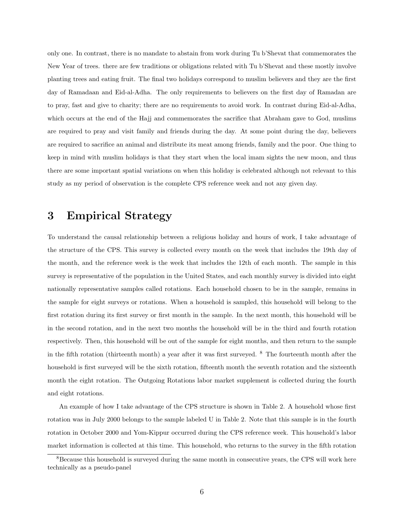only one. In contrast, there is no mandate to abstain from work during Tu b'Shevat that commemorates the New Year of trees. there are few traditions or obligations related with Tu b'Shevat and these mostly involve planting trees and eating fruit. The final two holidays correspond to muslim believers and they are the first day of Ramadaan and Eid-al-Adha. The only requirements to believers on the first day of Ramadan are to pray, fast and give to charity; there are no requirements to avoid work. In contrast during Eid-al-Adha, which occurs at the end of the Hajj and commemorates the sacrifice that Abraham gave to God, muslims are required to pray and visit family and friends during the day. At some point during the day, believers are required to sacrifice an animal and distribute its meat among friends, family and the poor. One thing to keep in mind with muslim holidays is that they start when the local imam sights the new moon, and thus there are some important spatial variations on when this holiday is celebrated although not relevant to this study as my period of observation is the complete CPS reference week and not any given day.

# 3 Empirical Strategy

To understand the causal relationship between a religious holiday and hours of work, I take advantage of the structure of the CPS. This survey is collected every month on the week that includes the 19th day of the month, and the reference week is the week that includes the 12th of each month. The sample in this survey is representative of the population in the United States, and each monthly survey is divided into eight nationally representative samples called rotations. Each household chosen to be in the sample, remains in the sample for eight surveys or rotations. When a household is sampled, this household will belong to the first rotation during its first survey or first month in the sample. In the next month, this household will be in the second rotation, and in the next two months the household will be in the third and fourth rotation respectively. Then, this household will be out of the sample for eight months, and then return to the sample in the fifth rotation (thirteenth month) a year after it was first surveyed. <sup>8</sup> The fourteenth month after the household is first surveyed will be the sixth rotation, fifteenth month the seventh rotation and the sixteenth month the eight rotation. The Outgoing Rotations labor market supplement is collected during the fourth and eight rotations.

An example of how I take advantage of the CPS structure is shown in Table 2. A household whose first rotation was in July 2000 belongs to the sample labeled U in Table 2. Note that this sample is in the fourth rotation in October 2000 and Yom-Kippur occurred during the CPS reference week. This household's labor market information is collected at this time. This household, who returns to the survey in the fifth rotation

<sup>&</sup>lt;sup>8</sup>Because this household is surveyed during the same month in consecutive years, the CPS will work here technically as a pseudo-panel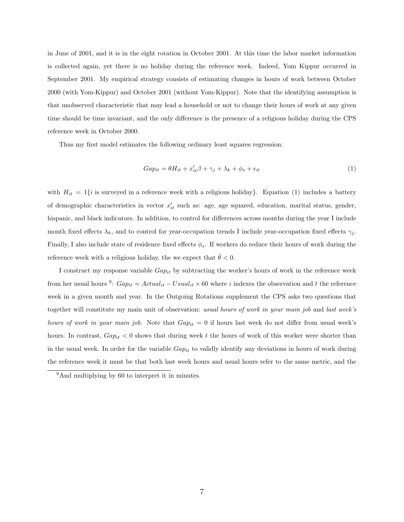in June of 2001, and it is in the eight rotation in October 2001. At this time the labor market information is collected again, yet there is no holiday during the reference week. Indeed, Yom Kippur occurred in September 2001. My empirical strategy consists of estimating changes in hours of work between October 2000 (with Yom-Kippur) and October 2001 (without Yom-Kippur). Note that the identifying assumption is that unobserved characteristic that may lead a household or not to change their hours of work at any given time should be time invariant, and the only difference is the presence of a religious holiday during the CPS reference week in October 2000.

Thus my first model estimates the following ordinary least squares regression:

$$
Gap_{it} = \theta H_{it} + x'_{it}\beta + \gamma_j + \lambda_k + \phi_s + \epsilon_{it}
$$
\n<sup>(1)</sup>

with  $H_{it} = 1\{i \text{ is surveyed in a reference week with a religious holiday}\}\.$  Equation (1) includes a battery of demographic characteristics in vector  $x'_{it}$  such as: age, age squared, education, marital status, gender, hispanic, and black indicators. In addition, to control for differences across months during the year I include month fixed effects  $\lambda_k$ , and to control for year-occupation trends I include year-occupation fixed effects  $\gamma_i$ . Finally, I also include state of residence fixed effects  $\phi_s$ . If workers do reduce their hours of work during the reference week with a religious holiday, the we expect that  $\hat{\theta} < 0$ .

I construct my response variable  $Gap_{it}$  by subtracting the worker's hours of work in the reference week from her usual hours <sup>9</sup>:  $Gap_{it} = Actual_{it} - Usual_{it} \times 60$  where i indexes the observation and t the reference week in a given month and year. In the Outgoing Rotations supplement the CPS asks two questions that together will constitute my main unit of observation: usual hours of work in your main job and last week's hours of work in your main job. Note that  $Gap_{it} = 0$  if hours last week do not differ from usual week's hours. In contrast,  $Gap_{it} < 0$  shows that during week t the hours of work of this worker were shorter than in the usual week. In order for the variable  $Gap_{it}$  to validly identify any deviations in hours of work during the reference week it must be that both last week hours and usual hours refer to the same metric, and the

<sup>&</sup>lt;sup>9</sup>And multiplying by 60 to interpret it in minutes.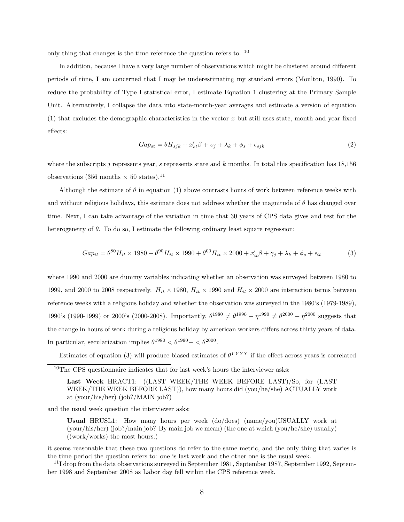only thing that changes is the time reference the question refers to. <sup>10</sup>

In addition, because I have a very large number of observations which might be clustered around different periods of time, I am concerned that I may be underestimating my standard errors (Moulton, 1990). To reduce the probability of Type I statistical error, I estimate Equation 1 clustering at the Primary Sample Unit. Alternatively, I collapse the data into state-month-year averages and estimate a version of equation (1) that excludes the demographic characteristics in the vector x but still uses state, month and year fixed effects:

$$
Gap_{st} = \theta H_{sjk} + x_{st}'\beta + v_j + \lambda_k + \phi_s + \epsilon_{sjk}
$$
\n<sup>(2)</sup>

where the subscripts j represents year, s represents state and k months. In total this specification has  $18,156$ observations (356 months  $\times$  50 states).<sup>11</sup>

Although the estimate of  $\theta$  in equation (1) above contrasts hours of work between reference weeks with and without religious holidays, this estimate does not address whether the magnitude of  $\theta$  has changed over time. Next, I can take advantage of the variation in time that 30 years of CPS data gives and test for the heterogeneity of  $\theta$ . To do so, I estimate the following ordinary least square regression:

$$
Gap_{it} = \theta^{80} H_{it} \times 1980 + \theta^{90} H_{it} \times 1990 + \theta^{00} H_{it} \times 2000 + x_{it}' \beta + \gamma_j + \lambda_k + \phi_s + \epsilon_{it}
$$
(3)

where 1990 and 2000 are dummy variables indicating whether an observation was surveyed between 1980 to 1999, and 2000 to 2008 respectively.  $H_{it} \times 1980$ ,  $H_{it} \times 1990$  and  $H_{it} \times 2000$  are interaction terms between reference weeks with a religious holiday and whether the observation was surveyed in the 1980's (1979-1989), 1990's (1990-1999) or 2000's (2000-2008). Importantly,  $\theta^{1980} \neq \theta^{1990} - \eta^{1990} \neq \theta^{2000} - \eta^{2000}$  suggests that the change in hours of work during a religious holiday by american workers differs across thirty years of data. In particular, secularization implies  $\theta^{1980} < \theta^{1990} - < \theta^{2000}$ .

Estimates of equation (3) will produce biased estimates of  $\theta^{YYYY}$  if the effect across years is correlated

and the usual week question the interviewer asks:

Usual HRUSL1: How many hours per week (do/does) (name/you)USUALLY work at (your/his/her) (job?/main job? By main job we mean) (the one at which (you/he/she) usually) ((work/works) the most hours.)

it seems reasonable that these two questions do refer to the same metric, and the only thing that varies is the time period the question refers to: one is last week and the other one is the usual week.

<sup>11</sup>I drop from the data observations surveyed in September 1981, September 1987, September 1992, September 1998 and September 2008 as Labor day fell within the CPS reference week.

 $^{10}\mathrm{The}$  CPS questionnaire indicates that for last week's hours the interviewer asks:

Last Week HRACT1: ((LAST WEEK/THE WEEK BEFORE LAST)/So, for (LAST WEEK/THE WEEK BEFORE LAST)), how many hours did (you/he/she) ACTUALLY work at (your/his/her) (job?/MAIN job?)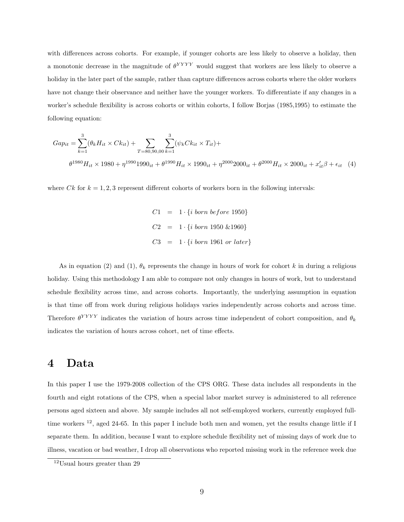with differences across cohorts. For example, if younger cohorts are less likely to observe a holiday, then a monotonic decrease in the magnitude of  $\theta^{YYYY}$  would suggest that workers are less likely to observe a holiday in the later part of the sample, rather than capture differences across cohorts where the older workers have not change their observance and neither have the younger workers. To differentiate if any changes in a worker's schedule flexibility is across cohorts or within cohorts, I follow Borjas (1985,1995) to estimate the following equation:

$$
Gap_{it} = \sum_{k=1}^{3} (\theta_k H_{it} \times C k_{it}) + \sum_{T=80,90,00} \sum_{k=1}^{3} (\psi_k C k_{it} \times T_{it}) +
$$
  

$$
\theta^{1980} H_{it} \times 1980 + \eta^{1990} 1990_{it} + \theta^{1990} H_{it} \times 1990_{it} + \eta^{2000} 2000_{it} + \theta^{2000} H_{it} \times 2000_{it} + x_{it}' \beta + \epsilon_{it} \quad (4)
$$

where Ck for  $k = 1, 2, 3$  represent different cohorts of workers born in the following intervals:

$$
C1 = 1 \cdot \{i \text{ born before } 1950\}
$$
  

$$
C2 = 1 \cdot \{i \text{ born } 1950 \& 1960\}
$$
  

$$
C3 = 1 \cdot \{i \text{ born } 1961 \text{ or later }\}
$$

As in equation (2) and (1),  $\theta_k$  represents the change in hours of work for cohort k in during a religious holiday. Using this methodology I am able to compare not only changes in hours of work, but to understand schedule flexibility across time, and across cohorts. Importantly, the underlying assumption in equation is that time off from work during religious holidays varies independently across cohorts and across time. Therefore  $\theta^{YYYY}$  indicates the variation of hours across time independent of cohort composition, and  $\theta_k$ indicates the variation of hours across cohort, net of time effects.

#### 4 Data

In this paper I use the 1979-2008 collection of the CPS ORG. These data includes all respondents in the fourth and eight rotations of the CPS, when a special labor market survey is administered to all reference persons aged sixteen and above. My sample includes all not self-employed workers, currently employed fulltime workers  $^{12}$ , aged 24-65. In this paper I include both men and women, yet the results change little if I separate them. In addition, because I want to explore schedule flexibility net of missing days of work due to illness, vacation or bad weather, I drop all observations who reported missing work in the reference week due

<sup>12</sup>Usual hours greater than 29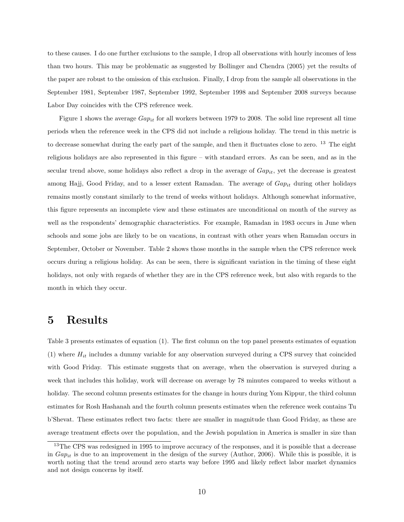to these causes. I do one further exclusions to the sample, I drop all observations with hourly incomes of less than two hours. This may be problematic as suggested by Bollinger and Chendra (2005) yet the results of the paper are robust to the omission of this exclusion. Finally, I drop from the sample all observations in the September 1981, September 1987, September 1992, September 1998 and September 2008 surveys because Labor Day coincides with the CPS reference week.

Figure 1 shows the average  $Gap_{it}$  for all workers between 1979 to 2008. The solid line represent all time periods when the reference week in the CPS did not include a religious holiday. The trend in this metric is to decrease somewhat during the early part of the sample, and then it fluctuates close to zero. <sup>13</sup> The eight religious holidays are also represented in this figure – with standard errors. As can be seen, and as in the secular trend above, some holidays also reflect a drop in the average of  $Gap_{it}$ , yet the decrease is greatest among Hajj, Good Friday, and to a lesser extent Ramadan. The average of  $Gap_{it}$  during other holidays remains mostly constant similarly to the trend of weeks without holidays. Although somewhat informative, this figure represents an incomplete view and these estimates are unconditional on month of the survey as well as the respondents' demographic characteristics. For example, Ramadan in 1983 occurs in June when schools and some jobs are likely to be on vacations, in contrast with other years when Ramadan occurs in September, October or November. Table 2 shows those months in the sample when the CPS reference week occurs during a religious holiday. As can be seen, there is significant variation in the timing of these eight holidays, not only with regards of whether they are in the CPS reference week, but also with regards to the month in which they occur.

### 5 Results

Table 3 presents estimates of equation (1). The first column on the top panel presents estimates of equation  $(1)$  where  $H_{it}$  includes a dummy variable for any observation surveyed during a CPS survey that coincided with Good Friday. This estimate suggests that on average, when the observation is surveyed during a week that includes this holiday, work will decrease on average by 78 minutes compared to weeks without a holiday. The second column presents estimates for the change in hours during Yom Kippur, the third column estimates for Rosh Hashanah and the fourth column presents estimates when the reference week contains Tu b'Shevat. These estimates reflect two facts: there are smaller in magnitude than Good Friday, as these are average treatment effects over the population, and the Jewish population in America is smaller in size than

<sup>&</sup>lt;sup>13</sup>The CPS was redesigned in 1995 to improve accuracy of the responses, and it is possible that a decrease in  $Gap_{it}$  is due to an improvement in the design of the survey (Author, 2006). While this is possible, it is worth noting that the trend around zero starts way before 1995 and likely reflect labor market dynamics and not design concerns by itself.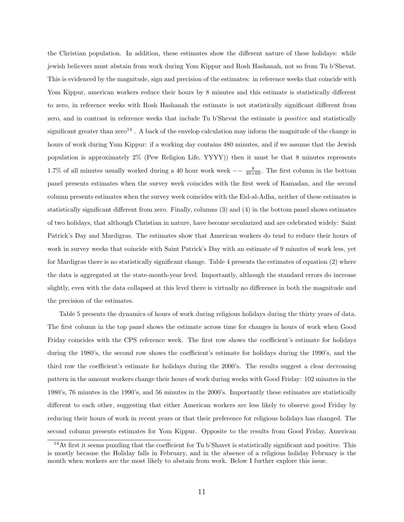the Christian population. In addition, these estimates show the different nature of these holidays: while jewish believers must abstain from work during Yom Kippur and Rosh Hashanah, not so from Tu b'Shevat. This is evidenced by the magnitude, sign and precision of the estimates: in reference weeks that coincide with Yom Kippur, american workers reduce their hours by 8 minutes and this estimate is statistically different to zero, in reference weeks with Rosh Hashanah the estimate is not statistically significant different from zero, and in contrast in reference weeks that include Tu b'Shevat the estimate is positive and statistically significant greater than  $\text{zero}^{14}$ . A back of the envelop calculation may inform the magnitude of the change in hours of work during Yum Kippur: if a working day contains 480 minutes, and if we assume that the Jewish population is approximately 2% (Pew Religion Life, YYYY)) then it must be that 8 minutes represents 1.7% of all minutes usually worked during a 40 hour work week  $\frac{8}{40\times60}$ . The first column in the bottom panel presents estimates when the survey week coincides with the first week of Ramadan, and the second column presents estimates when the survey week coincides with the Eid-al-Adha, neither of these estimates is statistically significant different from zero. Finally, columns (3) and (4) in the bottom panel shows estimates of two holidays, that although Christian in nature, have become secularized and are celebrated widely: Saint Patrick's Day and Mardigras. The estimates show that American workers do tend to reduce their hours of work in survey weeks that coincide with Saint Patrick's Day with an estimate of 9 minutes of work less, yet for Mardigras there is no statistically significant change. Table 4 presents the estimates of equation (2) where the data is aggregated at the state-month-year level. Importantly, although the standard errors do increase slightly, even with the data collapsed at this level there is virtually no difference in both the magnitude and the precision of the estimates.

Table 5 presents the dynamics of hours of work during religious holidays during the thirty years of data. The first column in the top panel shows the estimate across time for changes in hours of work when Good Friday coincides with the CPS reference week. The first row shows the coefficient's estimate for holidays during the 1980's, the second row shows the coefficient's estimate for holidays during the 1990's, and the third row the coefficient's estimate for holidays during the 2000's. The results suggest a clear decreasing pattern in the amount workers change their hours of work during weeks with Good Friday: 102 minutes in the 1980's, 76 minutes in the 1990's, and 56 minutes in the 2000's. Importantly these estimates are statistically different to each other, suggesting that either American workers are less likely to observe good Friday by reducing their hours of work in recent years or that their preference for religious holidays has changed. The second column presents estimates for Yom Kippur. Opposite to the results from Good Friday, American

<sup>&</sup>lt;sup>14</sup>At first it seems puzzling that the coefficient for Tu b'Shavet is statistically significant and positive. This is mostly because the Holiday falls in February, and in the absence of a religious holiday February is the month when workers are the most likely to abstain from work. Below I further explore this issue.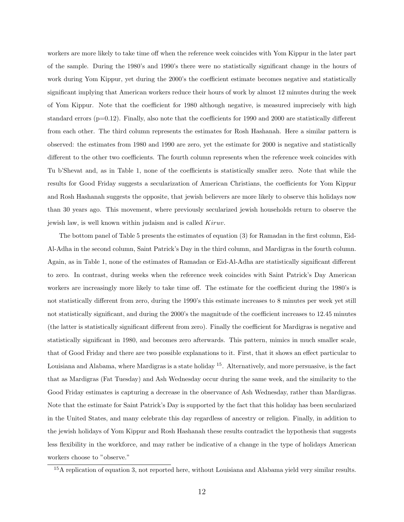workers are more likely to take time off when the reference week coincides with Yom Kippur in the later part of the sample. During the 1980's and 1990's there were no statistically significant change in the hours of work during Yom Kippur, yet during the 2000's the coefficient estimate becomes negative and statistically significant implying that American workers reduce their hours of work by almost 12 minutes during the week of Yom Kippur. Note that the coefficient for 1980 although negative, is measured imprecisely with high standard errors  $(p=0.12)$ . Finally, also note that the coefficients for 1990 and 2000 are statistically different from each other. The third column represents the estimates for Rosh Hashanah. Here a similar pattern is observed: the estimates from 1980 and 1990 are zero, yet the estimate for 2000 is negative and statistically different to the other two coefficients. The fourth column represents when the reference week coincides with Tu b'Shevat and, as in Table 1, none of the coefficients is statistically smaller zero. Note that while the results for Good Friday suggests a secularization of American Christians, the coefficients for Yom Kippur and Rosh Hashanah suggests the opposite, that jewish believers are more likely to observe this holidays now than 30 years ago. This movement, where previously secularized jewish households return to observe the jewish law, is well known within judaism and is called Kiruv.

The bottom panel of Table 5 presents the estimates of equation (3) for Ramadan in the first column, Eid-Al-Adha in the second column, Saint Patrick's Day in the third column, and Mardigras in the fourth column. Again, as in Table 1, none of the estimates of Ramadan or Eid-Al-Adha are statistically significant different to zero. In contrast, during weeks when the reference week coincides with Saint Patrick's Day American workers are increasingly more likely to take time off. The estimate for the coefficient during the 1980's is not statistically different from zero, during the 1990's this estimate increases to 8 minutes per week yet still not statistically significant, and during the 2000's the magnitude of the coefficient increases to 12.45 minutes (the latter is statistically significant different from zero). Finally the coefficient for Mardigras is negative and statistically significant in 1980, and becomes zero afterwards. This pattern, mimics in much smaller scale, that of Good Friday and there are two possible explanations to it. First, that it shows an effect particular to Louisiana and Alabama, where Mardigras is a state holiday <sup>15</sup>. Alternatively, and more persuasive, is the fact that as Mardigras (Fat Tuesday) and Ash Wednesday occur during the same week, and the similarity to the Good Friday estimates is capturing a decrease in the observance of Ash Wednesday, rather than Mardigras. Note that the estimate for Saint Patrick's Day is supported by the fact that this holiday has been secularized in the United States, and many celebrate this day regardless of ancestry or religion. Finally, in addition to the jewish holidays of Yom Kippur and Rosh Hashanah these results contradict the hypothesis that suggests less flexibility in the workforce, and may rather be indicative of a change in the type of holidays American workers choose to "observe."

 $15A$  replication of equation 3, not reported here, without Louisiana and Alabama yield very similar results.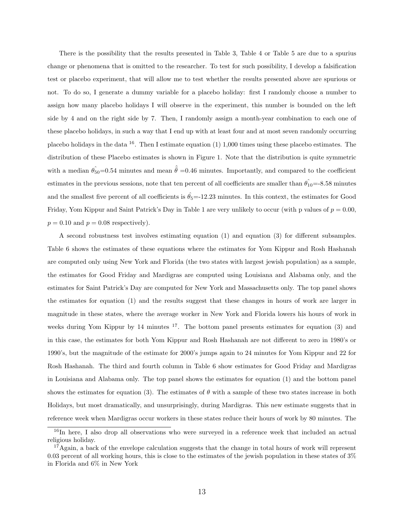There is the possibility that the results presented in Table 3, Table 4 or Table 5 are due to a spurius change or phenomena that is omitted to the researcher. To test for such possibility, I develop a falsification test or placebo experiment, that will allow me to test whether the results presented above are spurious or not. To do so, I generate a dummy variable for a placebo holiday: first I randomly choose a number to assign how many placebo holidays I will observe in the experiment, this number is bounded on the left side by 4 and on the right side by 7. Then, I randomly assign a month-year combination to each one of these placebo holidays, in such a way that I end up with at least four and at most seven randomly occurring placebo holidays in the data <sup>16</sup>. Then I estimate equation (1) 1,000 times using these placebo estimates. The distribution of these Placebo estimates is shown in Figure 1. Note that the distribution is quite symmetric with a median  $\hat{\theta}_{50}=0.54$  minutes and mean  $\hat{\theta}=0.46$  minutes. Importantly, and compared to the coefficient estimates in the previous sessions, note that ten percent of all coefficients are smaller than  $\hat{\theta}_{10} = -8.58$  minutes and the smallest five percent of all coefficients is  $\hat{\theta}_5 = -12.23$  minutes. In this context, the estimates for Good Friday, Yom Kippur and Saint Patrick's Day in Table 1 are very unlikely to occur (with p values of  $p = 0.00$ ,  $p = 0.10$  and  $p = 0.08$  respectively).

A second robustness test involves estimating equation (1) and equation (3) for different subsamples. Table 6 shows the estimates of these equations where the estimates for Yom Kippur and Rosh Hashanah are computed only using New York and Florida (the two states with largest jewish population) as a sample, the estimates for Good Friday and Mardigras are computed using Louisiana and Alabama only, and the estimates for Saint Patrick's Day are computed for New York and Massachusetts only. The top panel shows the estimates for equation (1) and the results suggest that these changes in hours of work are larger in magnitude in these states, where the average worker in New York and Florida lowers his hours of work in weeks during Yom Kippur by 14 minutes  $17$ . The bottom panel presents estimates for equation (3) and in this case, the estimates for both Yom Kippur and Rosh Hashanah are not different to zero in 1980's or 1990's, but the magnitude of the estimate for 2000's jumps again to 24 minutes for Yom Kippur and 22 for Rosh Hashanah. The third and fourth column in Table 6 show estimates for Good Friday and Mardigras in Louisiana and Alabama only. The top panel shows the estimates for equation (1) and the bottom panel shows the estimates for equation (3). The estimates of  $\theta$  with a sample of these two states increase in both Holidays, but most dramatically, and unsurprisingly, during Mardigras. This new estimate suggests that in reference week when Mardigras occur workers in these states reduce their hours of work by 80 minutes. The

<sup>&</sup>lt;sup>16</sup>In here, I also drop all observations who were surveyed in a reference week that included an actual religious holiday.

 $17$ Again, a back of the envelope calculation suggests that the change in total hours of work will represent 0.03 percent of all working hours, this is close to the estimates of the jewish population in these states of 3% in Florida and 6% in New York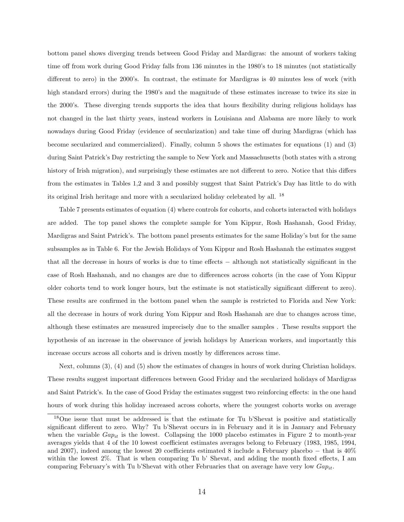bottom panel shows diverging trends between Good Friday and Mardigras: the amount of workers taking time off from work during Good Friday falls from 136 minutes in the 1980's to 18 minutes (not statistically different to zero) in the 2000's. In contrast, the estimate for Mardigras is 40 minutes less of work (with high standard errors) during the 1980's and the magnitude of these estimates increase to twice its size in the 2000's. These diverging trends supports the idea that hours flexibility during religious holidays has not changed in the last thirty years, instead workers in Louisiana and Alabama are more likely to work nowadays during Good Friday (evidence of secularization) and take time off during Mardigras (which has become secularized and commercialized). Finally, column 5 shows the estimates for equations (1) and (3) during Saint Patrick's Day restricting the sample to New York and Massachusetts (both states with a strong history of Irish migration), and surprisingly these estimates are not different to zero. Notice that this differs from the estimates in Tables 1,2 and 3 and possibly suggest that Saint Patrick's Day has little to do with its original Irish heritage and more with a secularized holiday celebrated by all. <sup>18</sup>

Table 7 presents estimates of equation (4) where controls for cohorts, and cohorts interacted with holidays are added. The top panel shows the complete sample for Yom Kippur, Rosh Hashanah, Good Friday, Mardigras and Saint Patrick's. The bottom panel presents estimates for the same Holiday's but for the same subsamples as in Table 6. For the Jewish Holidays of Yom Kippur and Rosh Hashanah the estimates suggest that all the decrease in hours of works is due to time effects − although not statistically significant in the case of Rosh Hashanah, and no changes are due to differences across cohorts (in the case of Yom Kippur older cohorts tend to work longer hours, but the estimate is not statistically significant different to zero). These results are confirmed in the bottom panel when the sample is restricted to Florida and New York: all the decrease in hours of work during Yom Kippur and Rosh Hashanah are due to changes across time, although these estimates are measured imprecisely due to the smaller samples . These results support the hypothesis of an increase in the observance of jewish holidays by American workers, and importantly this increase occurs across all cohorts and is driven mostly by differences across time.

Next, columns (3), (4) and (5) show the estimates of changes in hours of work during Christian holidays. These results suggest important differences between Good Friday and the secularized holidays of Mardigras and Saint Patrick's. In the case of Good Friday the estimates suggest two reinforcing effects: in the one hand hours of work during this holiday increased across cohorts, where the youngest cohorts works on average

<sup>18</sup>One issue that must be addressed is that the estimate for Tu b'Shevat is positive and statistically significant different to zero. Why? Tu b'Shevat occurs in in February and it is in January and February when the variable  $Gap_{it}$  is the lowest. Collapsing the 1000 placebo estimates in Figure 2 to month-year averages yields that 4 of the 10 lowest coefficient estimates averages belong to February (1983, 1985, 1994, and 2007), indeed among the lowest 20 coefficients estimated 8 include a February placebo − that is 40% within the lowest 2%. That is when comparing Tu b' Shevat, and adding the month fixed effects, I am comparing February's with Tu b'Shevat with other Februaries that on average have very low  $Gap_{it}$ .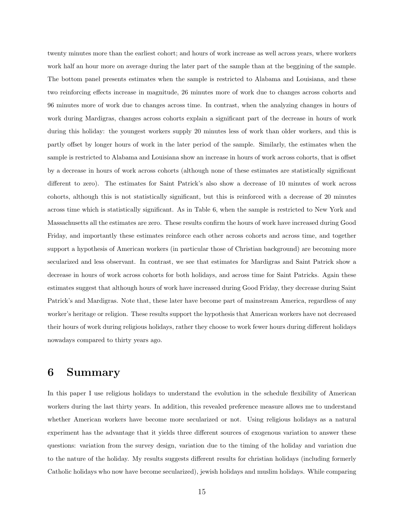twenty minutes more than the earliest cohort; and hours of work increase as well across years, where workers work half an hour more on average during the later part of the sample than at the beggining of the sample. The bottom panel presents estimates when the sample is restricted to Alabama and Louisiana, and these two reinforcing effects increase in magnitude, 26 minutes more of work due to changes across cohorts and 96 minutes more of work due to changes across time. In contrast, when the analyzing changes in hours of work during Mardigras, changes across cohorts explain a significant part of the decrease in hours of work during this holiday: the youngest workers supply 20 minutes less of work than older workers, and this is partly offset by longer hours of work in the later period of the sample. Similarly, the estimates when the sample is restricted to Alabama and Louisiana show an increase in hours of work across cohorts, that is offset by a decrease in hours of work across cohorts (although none of these estimates are statistically significant different to zero). The estimates for Saint Patrick's also show a decrease of 10 minutes of work across cohorts, although this is not statistically significant, but this is reinforced with a decrease of 20 minutes across time which is statistically significant. As in Table 6, when the sample is restricted to New York and Massachusetts all the estimates are zero. These results confirm the hours of work have increased during Good Friday, and importantly these estimates reinforce each other across cohorts and across time, and together support a hypothesis of American workers (in particular those of Christian background) are becoming more secularized and less observant. In contrast, we see that estimates for Mardigras and Saint Patrick show a decrease in hours of work across cohorts for both holidays, and across time for Saint Patricks. Again these estimates suggest that although hours of work have increased during Good Friday, they decrease during Saint Patrick's and Mardigras. Note that, these later have become part of mainstream America, regardless of any worker's heritage or religion. These results support the hypothesis that American workers have not decreased their hours of work during religious holidays, rather they choose to work fewer hours during different holidays nowadays compared to thirty years ago.

#### 6 Summary

In this paper I use religious holidays to understand the evolution in the schedule flexibility of American workers during the last thirty years. In addition, this revealed preference measure allows me to understand whether American workers have become more secularized or not. Using religious holidays as a natural experiment has the advantage that it yields three different sources of exogenous variation to answer these questions: variation from the survey design, variation due to the timing of the holiday and variation due to the nature of the holiday. My results suggests different results for christian holidays (including formerly Catholic holidays who now have become secularized), jewish holidays and muslim holidays. While comparing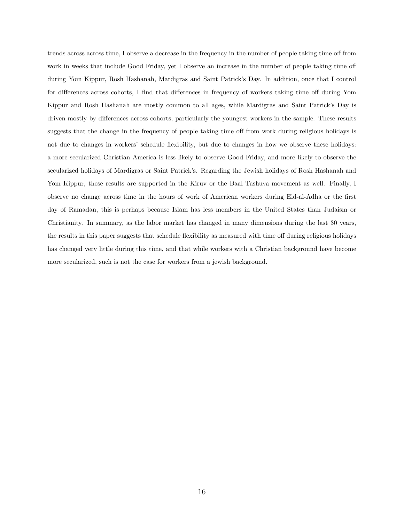trends across across time, I observe a decrease in the frequency in the number of people taking time off from work in weeks that include Good Friday, yet I observe an increase in the number of people taking time off during Yom Kippur, Rosh Hashanah, Mardigras and Saint Patrick's Day. In addition, once that I control for differences across cohorts, I find that differences in frequency of workers taking time off during Yom Kippur and Rosh Hashanah are mostly common to all ages, while Mardigras and Saint Patrick's Day is driven mostly by differences across cohorts, particularly the youngest workers in the sample. These results suggests that the change in the frequency of people taking time off from work during religious holidays is not due to changes in workers' schedule flexibility, but due to changes in how we observe these holidays: a more secularized Christian America is less likely to observe Good Friday, and more likely to observe the secularized holidays of Mardigras or Saint Patrick's. Regarding the Jewish holidays of Rosh Hashanah and Yom Kippur, these results are supported in the Kiruv or the Baal Tashuva movement as well. Finally, I observe no change across time in the hours of work of American workers during Eid-al-Adha or the first day of Ramadan, this is perhaps because Islam has less members in the United States than Judaism or Christianity. In summary, as the labor market has changed in many dimensions during the last 30 years, the results in this paper suggests that schedule flexibility as measured with time off during religious holidays has changed very little during this time, and that while workers with a Christian background have become more secularized, such is not the case for workers from a jewish background.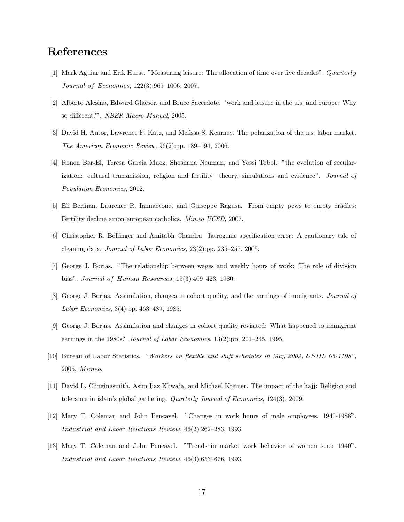## References

- [1] Mark Aguiar and Erik Hurst. "Measuring leisure: The allocation of time over five decades". Quarterly Journal of Economics, 122(3):969–1006, 2007.
- [2] Alberto Alesina, Edward Glaeser, and Bruce Sacerdote. "work and leisure in the u.s. and europe: Why so different?". NBER Macro Manual, 2005.
- [3] David H. Autor, Lawrence F. Katz, and Melissa S. Kearney. The polarization of the u.s. labor market. The American Economic Review, 96(2):pp. 189–194, 2006.
- [4] Ronen Bar-El, Teresa Garcia Muoz, Shoshana Neuman, and Yossi Tobol. "the evolution of secularization: cultural transmission, religion and fertility theory, simulations and evidence". Journal of Population Economics, 2012.
- [5] Eli Berman, Laurence R. Iannaccone, and Guiseppe Ragusa. From empty pews to empty cradles: Fertility decline amon european catholics. Mimeo UCSD, 2007.
- [6] Christopher R. Bollinger and Amitabh Chandra. Iatrogenic specification error: A cautionary tale of cleaning data. Journal of Labor Economics, 23(2):pp. 235–257, 2005.
- [7] George J. Borjas. "The relationship between wages and weekly hours of work: The role of division bias". Journal of Human Resources, 15(3):409–423, 1980.
- [8] George J. Borjas. Assimilation, changes in cohort quality, and the earnings of immigrants. Journal of Labor Economics, 3(4):pp. 463–489, 1985.
- [9] George J. Borjas. Assimilation and changes in cohort quality revisited: What happened to immigrant earnings in the 1980s? Journal of Labor Economics, 13(2):pp. 201–245, 1995.
- [10] Bureau of Labor Statistics. "Workers on flexible and shift schedules in May 2004, USDL 05-1198", 2005. Mimeo.
- [11] David L. Clingingsmith, Asim Ijaz Khwaja, and Michael Kremer. The impact of the hajj: Religion and tolerance in islam's global gathering. Quarterly Journal of Economics, 124(3), 2009.
- [12] Mary T. Coleman and John Pencavel. "Changes in work hours of male employees, 1940-1988". Industrial and Labor Relations Review, 46(2):262–283, 1993.
- [13] Mary T. Coleman and John Pencavel. "Trends in market work behavior of women since 1940". Industrial and Labor Relations Review, 46(3):653–676, 1993.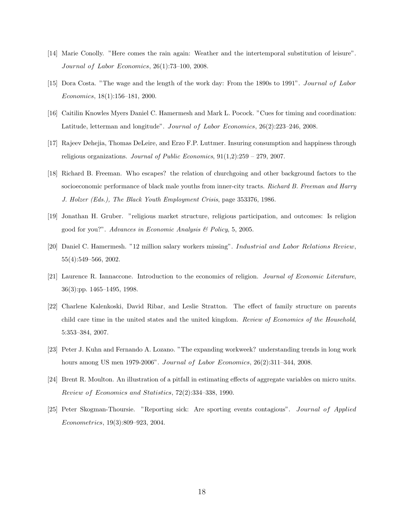- [14] Marie Conolly. "Here comes the rain again: Weather and the intertemporal substitution of leisure". Journal of Labor Economics, 26(1):73–100, 2008.
- [15] Dora Costa. "The wage and the length of the work day: From the 1890s to 1991". Journal of Labor Economics, 18(1):156–181, 2000.
- [16] Caitilin Knowles Myers Daniel C. Hamermesh and Mark L. Pocock. "Cues for timing and coordination: Latitude, letterman and longitude". Journal of Labor Economics, 26(2):223–246, 2008.
- [17] Rajeev Dehejia, Thomas DeLeire, and Erzo F.P. Luttmer. Insuring consumption and happiness through religious organizations. Journal of Public Economics,  $91(1,2):259 - 279$ , 2007.
- [18] Richard B. Freeman. Who escapes? the relation of churchgoing and other background factors to the socioeconomic performance of black male youths from inner-city tracts. Richard B. Freeman and Harry J. Holzer (Eds.), The Black Youth Employment Crisis, page 353376, 1986.
- [19] Jonathan H. Gruber. "religious market structure, religious participation, and outcomes: Is religion good for you?". Advances in Economic Analysis & Policy, 5, 2005.
- [20] Daniel C. Hamermesh. "12 million salary workers missing". Industrial and Labor Relations Review, 55(4):549–566, 2002.
- [21] Laurence R. Iannaccone. Introduction to the economics of religion. Journal of Economic Literature, 36(3):pp. 1465–1495, 1998.
- [22] Charlene Kalenkoski, David Ribar, and Leslie Stratton. The effect of family structure on parents child care time in the united states and the united kingdom. Review of Economics of the Household, 5:353–384, 2007.
- [23] Peter J. Kuhn and Fernando A. Lozano. "The expanding workweek? understanding trends in long work hours among US men 1979-2006". Journal of Labor Economics, 26(2):311-344, 2008.
- [24] Brent R. Moulton. An illustration of a pitfall in estimating effects of aggregate variables on micro units. Review of Economics and Statistics, 72(2):334–338, 1990.
- [25] Peter Skogman-Thoursie. "Reporting sick: Are sporting events contagious". Journal of Applied Econometrics, 19(3):809–923, 2004.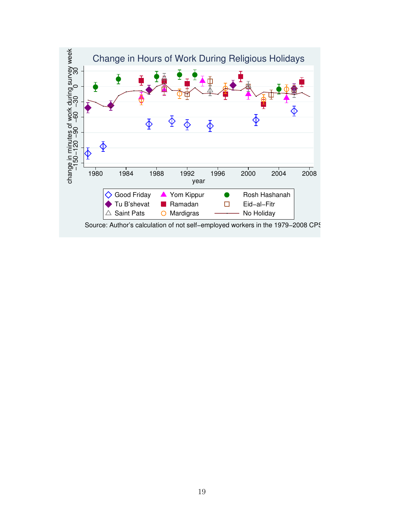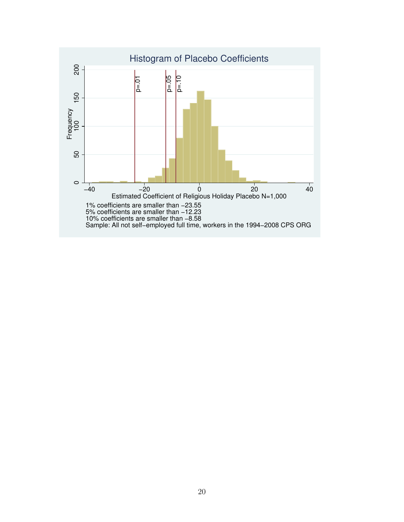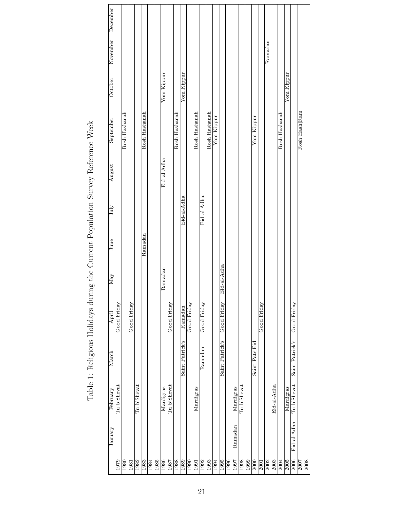| December          |        |             |               |             |             |               |      |      |             |             |               |                 |             |               |                                |               |            |                 |      |           |             |      |                |             |         |             |               |            |                 |               |      |
|-------------------|--------|-------------|---------------|-------------|-------------|---------------|------|------|-------------|-------------|---------------|-----------------|-------------|---------------|--------------------------------|---------------|------------|-----------------|------|-----------|-------------|------|----------------|-------------|---------|-------------|---------------|------------|-----------------|---------------|------|
| November          |        |             |               |             |             |               |      |      |             |             |               |                 |             |               |                                |               |            |                 |      |           |             |      |                |             | Ramadan |             |               |            |                 |               |      |
| October           |        |             |               |             |             |               |      |      | Yom Kippur  |             |               | Yom Kippur      |             |               |                                |               |            |                 |      |           |             |      |                |             |         |             |               | Yom Kippur |                 |               |      |
| September         |        |             | Rosh Hashanah |             |             | Rosh Hashanah |      |      |             |             | Rosh Hashanah |                 |             | Rosh Hashanah |                                | Rosh Hashanah | Yom Kippur |                 |      |           |             |      | Yom Kippur     |             |         |             | Rosh Hashanah |            |                 | Rosh Hash Ram |      |
|                   | August |             |               |             |             |               |      |      | Eid-al-Adha |             |               |                 |             |               |                                |               |            |                 |      |           |             |      |                |             |         |             |               |            |                 |               |      |
| July              |        |             |               |             |             |               |      |      |             |             |               | Eid-al-Adha     |             |               | Eid-al-Adha                    |               |            |                 |      |           |             |      |                |             |         |             |               |            |                 |               |      |
| June              |        |             |               |             |             | Ramadan       |      |      |             |             |               |                 |             |               |                                |               |            |                 |      |           |             |      |                |             |         |             |               |            |                 |               |      |
| $_{\mathrm{May}}$ |        |             |               |             |             |               |      |      | Ramadan     |             |               |                 |             |               |                                |               |            | Eid-al-Adha     |      |           |             |      |                |             |         |             |               |            |                 |               |      |
| April             |        | Good Friday |               | Good Friday |             |               |      |      |             | Good Friday |               | Ramadan         | Good Friday |               | Good Friday                    |               |            | Good Friday     |      |           |             |      |                | Good Friday |         |             |               |            | Good Friday     |               |      |
| March             |        |             |               |             |             |               |      |      |             |             |               | Saint Patrick's |             |               | $\overline{\mathrm{R}}$ amadan |               |            | Saint Patrick's |      |           |             |      | Saint Pats Eid |             |         |             |               |            | Saint Patrick's |               |      |
| February          |        | Tu b'Shevat |               |             | Tu b'Shevat |               |      |      | Mardigras   | Tu b'Shevat |               |                 |             | Mardigras     |                                |               |            |                 |      | Mardigras | Tu b'Shevat |      |                |             |         | Eid-al-Adha |               | Mardigras  | Tu b'Shevat     |               |      |
| January           |        |             |               |             |             |               |      |      |             |             |               |                 |             |               |                                |               |            |                 |      | Ramadan   |             |      |                |             |         |             |               |            | Eid-al-Adha     |               |      |
|                   |        | 1979        | 1980          | 1981        | 1982        | 1983          | 1984 | 1985 | 1986        | 1987        | 1988          | 1989            | 1990        | 1991          | 1992                           | 1993          | 1994       | 1995            | 1996 | 1997      | 1998        | 1999 | 2000           | 2001        | 2002    | 2003        | 2004          | 2005       | 2006            | 2007          | 2008 |

Table 1: Religious Holidays during the Current Population Survey Reference Week Table 1: Religious Holidays during the Current Population Survey Reference Week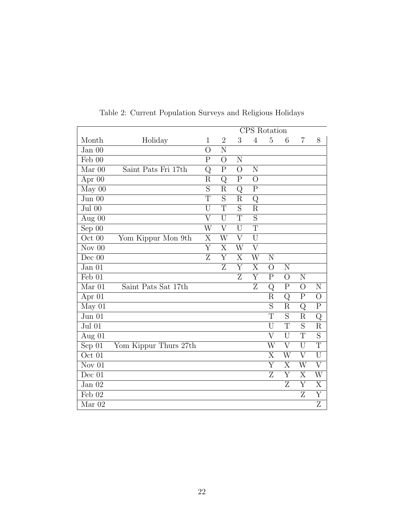|                               |                       |                         |                         | CPS Rotation            |                         |                         |                         |                         |                         |
|-------------------------------|-----------------------|-------------------------|-------------------------|-------------------------|-------------------------|-------------------------|-------------------------|-------------------------|-------------------------|
| Month                         | Holiday               | $\mathbf 1$             | $\overline{2}$          | 3                       | $\overline{4}$          | $\overline{5}$          | 6                       | 7                       | 8                       |
| Jan 00                        |                       | $\overline{O}$          | N                       |                         |                         |                         |                         |                         |                         |
| Feb 00                        |                       | $\mathbf P$             | $\overline{O}$          | N                       |                         |                         |                         |                         |                         |
| $Mar$ 00                      | Saint Pats Fri 17th   | Q                       | $\overline{\mathrm{P}}$ | $\overline{O}$          | N                       |                         |                         |                         |                         |
| Apr 00                        |                       | $\rm R$                 | Q                       | $\mathbf P$             | $\overline{O}$          |                         |                         |                         |                         |
| May 00                        |                       | $\overline{S}$          | $\overline{\mathrm{R}}$ | $\overline{\mathrm{Q}}$ | $\overline{\mathrm{P}}$ |                         |                         |                         |                         |
| Jun 00                        |                       | T                       | S                       | $\rm R$                 | Q                       |                         |                         |                         |                         |
| $\overline{\mathrm{Jul}}\ 00$ |                       | $\overline{\mathrm{U}}$ | $\overline{\mathrm{T}}$ | $\overline{S}$          | $\overline{\mathrm{R}}$ |                         |                         |                         |                         |
| Aug 00                        |                       | $\overline{\mathrm{V}}$ | U                       | T                       | $\overline{S}$          |                         |                         |                         |                         |
| Sep $0\overline{0}$           |                       | W                       | $\overline{V}$          | U                       | $\overline{\text{T}}$   |                         |                         |                         |                         |
| Oct 00                        | Yom Kippur Mon 9th    | $\overline{X}$          | $\overline{\text{W}}$   | $\overline{\rm V}$      | $\overline{U}$          |                         |                         |                         |                         |
| Nov $00$                      |                       | $\overline{\mathrm{Y}}$ | $\overline{\mathrm{X}}$ | W                       | $\overline{\rm V}$      |                         |                         |                         |                         |
| Dec 00                        |                       | $\overline{\mathrm{z}}$ | $\overline{\mathrm{Y}}$ | $\overline{\mathrm{X}}$ | $\overline{\text{W}}$   | N                       |                         |                         |                         |
| Jan 01                        |                       |                         | Ζ                       | Y                       | X                       | $\overline{O}$          | N                       |                         |                         |
| Feb 01                        |                       |                         |                         | Z                       | $\overline{\mathrm{Y}}$ | ${\bf P}$               | $\overline{O}$          | N                       |                         |
| Mar 01                        | Saint Pats Sat 17th   |                         |                         |                         | $\overline{Z}$          | Q                       | $\mathbf P$             | $\overline{O}$          | N                       |
| Apr $01$                      |                       |                         |                         |                         |                         | $\rm R$                 | Q                       | $\mathbf P$             | $\overline{O}$          |
| May 01                        |                       |                         |                         |                         |                         | $\overline{\mathrm{S}}$ | R                       | Q                       | $\overline{P}$          |
| Jun 01                        |                       |                         |                         |                         |                         | $\overline{T}$          | $\overline{S}$          | $\rm R$                 | $\mathrm{Q}$            |
| Jul 01                        |                       |                         |                         |                         |                         | $\overline{\mathrm{U}}$ | $\overline{\mathrm{T}}$ | $\overline{S}$          | $\overline{\mathrm{R}}$ |
| Aug 01                        |                       |                         |                         |                         |                         | $\overline{\rm V}$      | U                       | $\overline{T}$          | $\overline{S}$          |
| Sep 01                        | Yom Kippur Thurs 27th |                         |                         |                         |                         | W                       | $\rm V$                 | U                       | $\overline{T}$          |
| $\overline{\text{Oct}}$ 01    |                       |                         |                         |                         |                         | $\overline{\mathrm{X}}$ | $\overline{\text{W}}$   | $\overline{\rm V}$      | $\overline{\mathrm{U}}$ |
| Nov $01$                      |                       |                         |                         |                         |                         | Y                       | X                       | W                       | $\overline{V}$          |
| Dec 01                        |                       |                         |                         |                         |                         | $\overline{\mathrm{Z}}$ | $\overline{\mathrm{Y}}$ | $\overline{\mathrm{X}}$ | $\overline{\text{W}}$   |
| Jan 02                        |                       |                         |                         |                         |                         |                         | Z                       | Y                       | X                       |
| Feb 02                        |                       |                         |                         |                         |                         |                         |                         | $\overline{\mathrm{z}}$ | $\overline{\mathrm{Y}}$ |
| Mar 02                        |                       |                         |                         |                         |                         |                         |                         |                         | Ζ                       |

Table 2: Current Population Surveys and Religious Holidays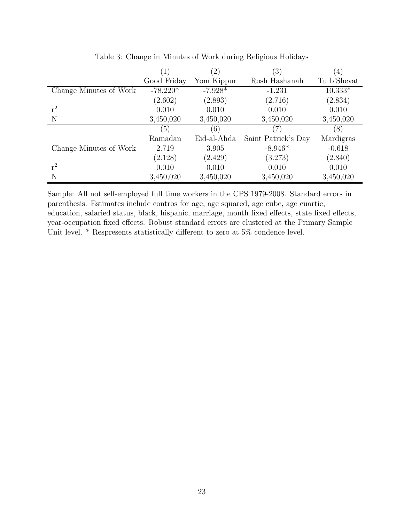|                        | $\left(1\right)$ | $^{\prime}2)$ | $\left(3\right)$    | $\vert 4 \vert$ |
|------------------------|------------------|---------------|---------------------|-----------------|
|                        | Good Friday      | Yom Kippur    | Rosh Hashanah       | Tu b'Shevat     |
| Change Minutes of Work | $-78.220*$       | $-7.928*$     | $-1.231$            | $10.333*$       |
|                        | (2.602)          | (2.893)       | (2.716)             | (2.834)         |
| $r^2$                  | 0.010            | 0.010         | 0.010               | 0.010           |
| N                      | 3,450,020        | 3,450,020     | 3,450,020           | 3,450,020       |
|                        | (5)              | (6)           | (7)                 | (8)             |
|                        | Ramadan          | Eid-al-Ahda   | Saint Patrick's Day | Mardigras       |
| Change Minutes of Work | 2.719            | 3.905         | $-8.946*$           | $-0.618$        |
|                        | (2.128)          | (2.429)       | (3.273)             | (2.840)         |
| $r^2$                  | 0.010            | 0.010         | 0.010               | 0.010           |
| N                      | 3,450,020        | 3,450,020     | 3,450,020           | 3,450,020       |

Table 3: Change in Minutes of Work during Religious Holidays

Sample: All not self-employed full time workers in the CPS 1979-2008. Standard errors in parenthesis. Estimates include contros for age, age squared, age cube, age cuartic, education, salaried status, black, hispanic, marriage, month fixed effects, state fixed effects, year-occupation fixed effects. Robust standard errors are clustered at the Primary Sample Unit level. \* Respresents statistically different to zero at 5% condence level.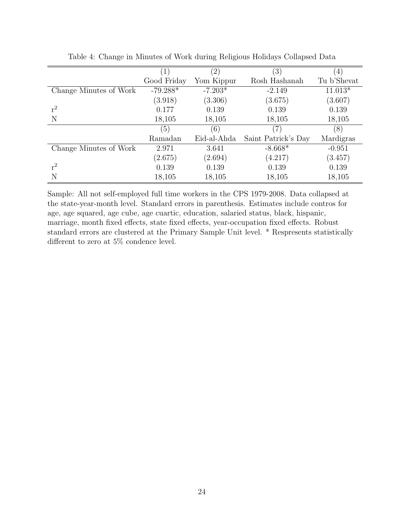|                        |             | $\left( 2\right)$ | $\left(3\right)$    |             |
|------------------------|-------------|-------------------|---------------------|-------------|
|                        | Good Friday | Yom Kippur        | Rosh Hashanah       | Tu b'Shevat |
| Change Minutes of Work | $-79.288*$  | $-7.203*$         | $-2.149$            | $11.013*$   |
|                        | (3.918)     | (3.306)           | (3.675)             | (3.607)     |
| $r^2$                  | 0.177       | 0.139             | 0.139               | 0.139       |
| N                      | 18,105      | 18,105            | 18,105              | 18,105      |
|                        | (5)         | (6)               | (7)                 | (8)         |
|                        | Ramadan     | Eid-al-Ahda       | Saint Patrick's Day | Mardigras   |
| Change Minutes of Work | 2.971       | 3.641             | $-8.668*$           | $-0.951$    |
|                        | (2.675)     | (2.694)           | (4.217)             | (3.457)     |
| $r^2$                  | 0.139       | 0.139             | 0.139               | 0.139       |
| Ν                      | 18,105      | 18,105            | 18,105              | 18,105      |

Table 4: Change in Minutes of Work during Religious Holidays Collapsed Data

Sample: All not self-employed full time workers in the CPS 1979-2008. Data collapsed at the state-year-month level. Standard errors in parenthesis. Estimates include contros for age, age squared, age cube, age cuartic, education, salaried status, black, hispanic, marriage, month fixed effects, state fixed effects, year-occupation fixed effects. Robust standard errors are clustered at the Primary Sample Unit level. \* Respresents statistically different to zero at 5% condence level.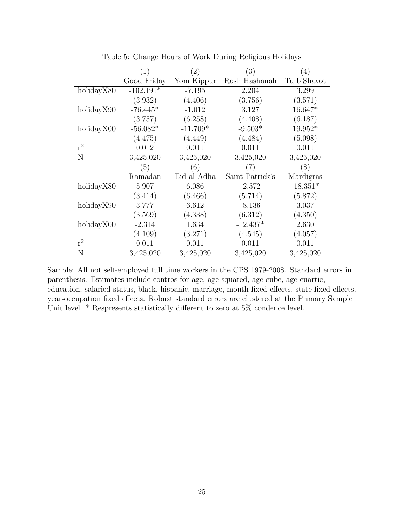|            | (1)         | $\left( 2\right)$ | (3)             | $\left(4\right)$ |
|------------|-------------|-------------------|-----------------|------------------|
|            | Good Friday | Yom Kippur        | Rosh Hashanah   | Tu b'Shavot      |
| holidayX80 | $-102.191*$ | $-7.195$          | 2.204           | 3.299            |
|            | (3.932)     | (4.406)           | (3.756)         | (3.571)          |
| holidayX90 | $-76.445*$  | $-1.012$          | 3.127           | 16.647*          |
|            | (3.757)     | (6.258)           | (4.408)         | (6.187)          |
| holidayX00 | $-56.082*$  | $-11.709*$        | $-9.503*$       | $19.952*$        |
|            | (4.475)     | (4.449)           | (4.484)         | (5.098)          |
| $r^2$      | 0.012       | 0.011             | 0.011           | 0.011            |
| N          | 3,425,020   | 3,425,020         | 3,425,020       | 3,425,020        |
|            | (5)         | (6)               | (7)             | (8)              |
|            | Ramadan     | Eid-al-Adha       | Saint Patrick's | Mardigras        |
| holidayX80 | 5.907       | 6.086             | $-2.572$        | $-18.351*$       |
|            | (3.414)     | (6.466)           | (5.714)         | (5.872)          |
| holidayX90 | 3.777       | 6.612             | $-8.136$        | 3.037            |
|            | (3.569)     | (4.338)           | (6.312)         | (4.350)          |
| holidayX00 | $-2.314$    | 1.634             | $-12.437*$      | 2.630            |
|            | (4.109)     | (3.271)           | (4.545)         | (4.057)          |
| $r^2$      | 0.011       | 0.011             | 0.011           | 0.011            |
| N          | 3,425,020   | 3,425,020         | 3,425,020       | 3,425,020        |

Table 5: Change Hours of Work During Religious Holidays

Sample: All not self-employed full time workers in the CPS 1979-2008. Standard errors in parenthesis. Estimates include contros for age, age squared, age cube, age cuartic, education, salaried status, black, hispanic, marriage, month fixed effects, state fixed effects, year-occupation fixed effects. Robust standard errors are clustered at the Primary Sample Unit level. \* Respresents statistically different to zero at 5% condence level.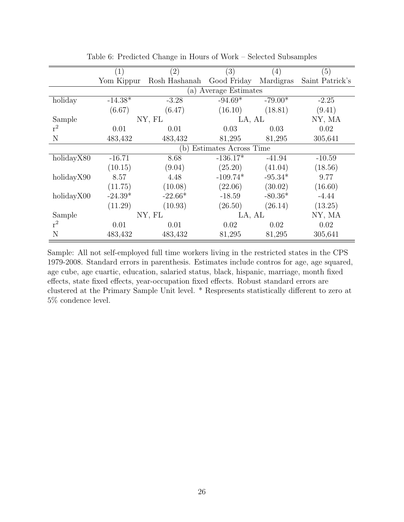|            | (1)        | $\left( 2\right)$ | (3)               | $\left( 4\right)$ | (5)             |  |
|------------|------------|-------------------|-------------------|-------------------|-----------------|--|
|            | Yom Kippur | Rosh Hashanah     | Good Friday       | Mardigras         | Saint Patrick's |  |
|            |            | $\lbrack a)$      | Average Estimates |                   |                 |  |
| holiday    | $-14.38*$  | $-3.28$           | $-94.69*$         | $-79.00*$         | $-2.25$         |  |
|            | (6.67)     | (6.47)            | (16.10)           | (18.81)           | (9.41)          |  |
| Sample     |            | NY, FL            | LA, AL            |                   | NY, MA          |  |
| $r^2$      | 0.01       | 0.01              | 0.03              | 0.03              | 0.02            |  |
| N          | 483,432    | 483,432           | 81,295            | 81,295            | 305,641         |  |
|            |            |                   |                   |                   |                 |  |
| holidayX80 | $-16.71$   | 8.68              | $-136.17*$        | $-41.94$          | $-10.59$        |  |
|            | (10.15)    | (9.04)            | (25.20)           | (41.04)           | (18.56)         |  |
| holidayX90 | 8.57       | 4.48              | $-109.74*$        | $-95.34*$         | 9.77            |  |
|            | (11.75)    | (10.08)           | (22.06)           | (30.02)           | (16.60)         |  |
| holidayX00 | $-24.39*$  | $-22.66*$         | $-18.59$          | $-80.36*$         | $-4.44$         |  |
|            | (11.29)    | (10.93)           | (26.50)           | (26.14)           | (13.25)         |  |
| Sample     |            | NY, FL            | LA, AL            |                   | NY, MA          |  |
| $r^2$      | 0.01       | 0.01              | 0.02              | 0.02              | 0.02            |  |
| N          | 483,432    | 483,432           | 81,295            | 81,295            | 305,641         |  |

Table 6: Predicted Change in Hours of Work – Selected Subsamples

Sample: All not self-employed full time workers living in the restricted states in the CPS 1979-2008. Standard errors in parenthesis. Estimates include contros for age, age squared, age cube, age cuartic, education, salaried status, black, hispanic, marriage, month fixed effects, state fixed effects, year-occupation fixed effects. Robust standard errors are clustered at the Primary Sample Unit level. \* Respresents statistically different to zero at 5% condence level.